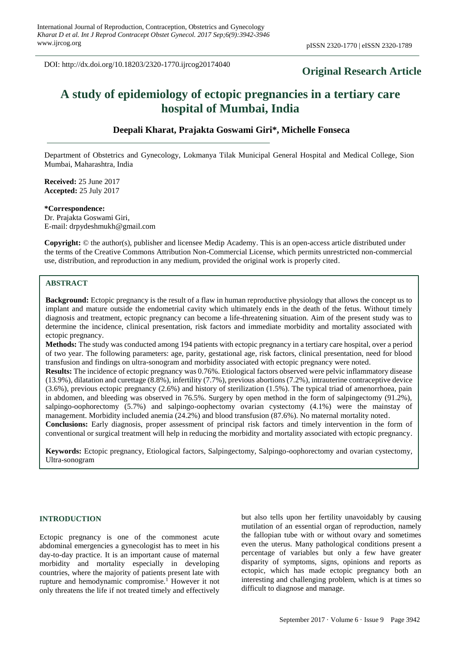DOI: http://dx.doi.org/10.18203/2320-1770.ijrcog20174040

# **Original Research Article**

# **A study of epidemiology of ectopic pregnancies in a tertiary care hospital of Mumbai, India**

# **Deepali Kharat, Prajakta Goswami Giri\*, Michelle Fonseca**

Department of Obstetrics and Gynecology, Lokmanya Tilak Municipal General Hospital and Medical College, Sion Mumbai, Maharashtra, India

**Received:** 25 June 2017 **Accepted:** 25 July 2017

#### **\*Correspondence:**

Dr. Prajakta Goswami Giri, E-mail: drpydeshmukh@gmail.com

**Copyright:** © the author(s), publisher and licensee Medip Academy. This is an open-access article distributed under the terms of the Creative Commons Attribution Non-Commercial License, which permits unrestricted non-commercial use, distribution, and reproduction in any medium, provided the original work is properly cited.

#### **ABSTRACT**

**Background:** Ectopic pregnancy is the result of a flaw in human reproductive physiology that allows the concept us to implant and mature outside the endometrial cavity which ultimately ends in the death of the fetus. Without timely diagnosis and treatment, ectopic pregnancy can become a life-threatening situation. Aim of the present study was to determine the incidence, clinical presentation, risk factors and immediate morbidity and mortality associated with ectopic pregnancy.

**Methods:** The study was conducted among 194 patients with ectopic pregnancy in a tertiary care hospital, over a period of two year. The following parameters: age, parity, gestational age, risk factors, clinical presentation, need for blood transfusion and findings on ultra-sonogram and morbidity associated with ectopic pregnancy were noted.

**Results:** The incidence of ectopic pregnancy was 0.76%. Etiological factors observed were pelvic inflammatory disease (13.9%), dilatation and curettage (8.8%), infertility (7.7%), previous abortions (7.2%), intrauterine contraceptive device (3.6%), previous ectopic pregnancy (2.6%) and history of sterilization (1.5%). The typical triad of amenorrhoea, pain in abdomen, and bleeding was observed in 76.5%. Surgery by open method in the form of salpingectomy (91.2%), salpingo-oophorectomy (5.7%) and salpingo-oophectomy ovarian cystectomy (4.1%) were the mainstay of management. Morbidity included anemia (24.2%) and blood transfusion (87.6%). No maternal mortality noted.

**Conclusions:** Early diagnosis, proper assessment of principal risk factors and timely intervention in the form of conventional or surgical treatment will help in reducing the morbidity and mortality associated with ectopic pregnancy.

**Keywords:** Ectopic pregnancy, Etiological factors, Salpingectomy, Salpingo-oophorectomy and ovarian cystectomy, Ultra-sonogram

#### **INTRODUCTION**

Ectopic pregnancy is one of the commonest acute abdominal emergencies a gynecologist has to meet in his day-to-day practice. It is an important cause of maternal morbidity and mortality especially in developing countries, where the majority of patients present late with rupture and hemodynamic compromise.<sup>1</sup> However it not only threatens the life if not treated timely and effectively but also tells upon her fertility unavoidably by causing mutilation of an essential organ of reproduction, namely the fallopian tube with or without ovary and sometimes even the uterus. Many pathological conditions present a percentage of variables but only a few have greater disparity of symptoms, signs, opinions and reports as ectopic, which has made ectopic pregnancy both an interesting and challenging problem, which is at times so difficult to diagnose and manage.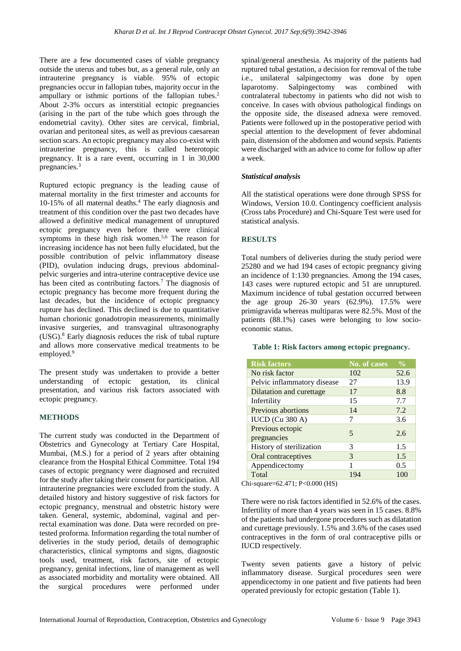There are a few documented cases of viable pregnancy outside the uterus and tubes but, as a general rule, only an intrauterine pregnancy is viable. 95% of ectopic pregnancies occur in fallopian tubes, majority occur in the ampullary or isthmic portions of the fallopian tubes.<sup>2</sup> About 2-3% occurs as interstitial ectopic pregnancies (arising in the part of the tube which goes through the endometrial cavity). Other sites are cervical, fimbrial, ovarian and peritoneal sites, as well as previous caesarean section scars. An ectopic pregnancy may also co-exist with intrauterine pregnancy, this is called heterotopic pregnancy. It is a rare event, occurring in 1 in 30,000 pregnancies.<sup>3</sup>

Ruptured ectopic pregnancy is the leading cause of maternal mortality in the first trimester and accounts for 10-15% of all maternal deaths. <sup>4</sup> The early diagnosis and treatment of this condition over the past two decades have allowed a definitive medical management of unruptured ectopic pregnancy even before there were clinical symptoms in these high risk women.<sup>5,6</sup> The reason for increasing incidence has not been fully elucidated, but the possible contribution of pelvic inflammatory disease (PID), ovulation inducing drugs, previous abdominalpelvic surgeries and intra-uterine contraceptive device use has been cited as contributing factors.<sup>7</sup> The diagnosis of ectopic pregnancy has become more frequent during the last decades, but the incidence of ectopic pregnancy rupture has declined. This declined is due to quantitative human chorionic gonadotropin measurements, minimally invasive surgeries, and transvaginal ultrasonography  $(USA)^8$  Early diagnosis reduces the risk of tubal rupture and allows more conservative medical treatments to be employed.<sup>9</sup>

The present study was undertaken to provide a better understanding of ectopic gestation, its clinical presentation, and various risk factors associated with ectopic pregnancy.

## **METHODS**

The current study was conducted in the Department of Obstetrics and Gynecology at Tertiary Care Hospital, Mumbai, (M.S.) for a period of 2 years after obtaining clearance from the Hospital Ethical Committee. Total 194 cases of ectopic pregnancy were diagnosed and recruited for the study after taking their consent for participation. All intrauterine pregnancies were excluded from the study. A detailed history and history suggestive of risk factors for ectopic pregnancy, menstrual and obstetric history were taken. General, systemic, abdominal, vaginal and perrectal examination was done. Data were recorded on pretested proforma. Information regarding the total number of deliveries in the study period, details of demographic characteristics, clinical symptoms and signs, diagnostic tools used, treatment, risk factors, site of ectopic pregnancy, genital infections, line of management as well as associated morbidity and mortality were obtained. All the surgical procedures were performed under spinal/general anesthesia. As majority of the patients had ruptured tubal gestation, a decision for removal of the tube i.e., unilateral salpingectomy was done by open laparotomy. Salpingectomy was combined with contralateral tubectomy in patients who did not wish to conceive. In cases with obvious pathological findings on the opposite side, the diseased adnexa were removed. Patients were followed up in the postoperative period with special attention to the development of fever abdominal pain, distension of the abdomen and wound sepsis. Patients were discharged with an advice to come for follow up after a week.

## *Statistical analysis*

All the statistical operations were done through SPSS for Windows, Version 10.0. Contingency coefficient analysis (Cross tabs Procedure) and Chi-Square Test were used for statistical analysis.

# **RESULTS**

Total numbers of deliveries during the study period were 25280 and we had 194 cases of ectopic pregnancy giving an incidence of 1:130 pregnancies. Among the 194 cases, 143 cases were ruptured ectopic and 51 are unruptured. Maximum incidence of tubal gestation occurred between the age group 26-30 years (62.9%). 17.5% were primigravida whereas multiparas were 82.5%. Most of the patients (88.1%) cases were belonging to low socioeconomic status.

#### **Table 1: Risk factors among ectopic pregnancy.**

| <b>Risk factors</b>             | <b>No. of cases</b> | $\frac{0}{0}$ |
|---------------------------------|---------------------|---------------|
| No risk factor                  | 102                 | 52.6          |
| Pelvic inflammatory disease     | 27                  | 13.9          |
| Dilatation and curettage        | 17                  | 8.8           |
| Infertility                     | 15                  | 7.7           |
| Previous abortions              | 14                  | 7.2           |
| IUCD (Cu 380 A)                 | 7                   | 3.6           |
| Previous ectopic<br>pregnancies | 5                   | 2.6           |
| History of sterilization        | 3                   | 1.5           |
| Oral contraceptives             | 3                   | 1.5           |
| Appendicectomy                  | 1                   | 0.5           |
| Total                           | 194                 | 100           |

Chi-square=62.471; P<0.000 (HS)

There were no risk factors identified in 52.6% of the cases. Infertility of more than 4 years was seen in 15 cases. 8.8% of the patients had undergone procedures such as dilatation and curettage previously. 1.5% and 3.6% of the cases used contraceptives in the form of oral contraceptive pills or IUCD respectively.

Twenty seven patients gave a history of pelvic inflammatory disease. Surgical procedures seen were appendicectomy in one patient and five patients had been operated previously for ectopic gestation (Table 1).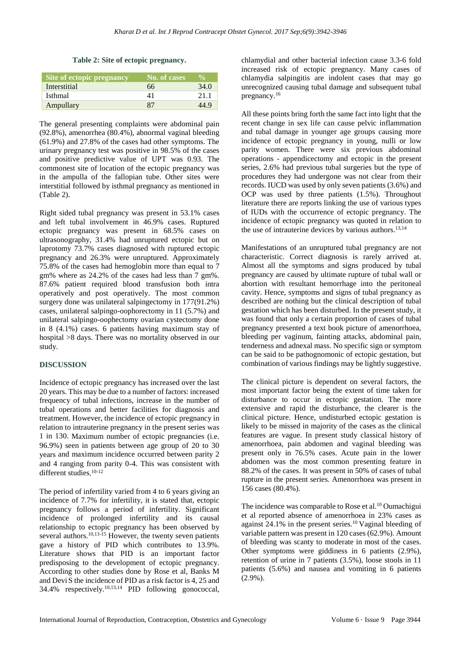**Table 2: Site of ectopic pregnancy.**

| Site of ectopic pregnancy | No. of cases' | $\frac{0}{\alpha}$ |
|---------------------------|---------------|--------------------|
| Interstitial              | 66            | 34.0               |
| <b>Isthmal</b>            | 41            | 21.1               |
| Ampullary                 | 87            | 44.9               |

The general presenting complaints were abdominal pain (92.8%), amenorrhea (80.4%), abnormal vaginal bleeding (61.9%) and 27.8% of the cases had other symptoms. The urinary pregnancy test was positive in 98.5% of the cases and positive predictive value of UPT was 0.93. The commonest site of location of the ectopic pregnancy was in the ampulla of the fallopian tube. Other sites were interstitial followed by isthmal pregnancy as mentioned in (Table 2).

Right sided tubal pregnancy was present in 53.1% cases and left tubal involvement in 46.9% cases. Ruptured ectopic pregnancy was present in 68.5% cases on ultrasonography, 31.4% had unruptured ectopic but on laprotomy 73.7% cases diagnosed with ruptured ectopic pregnancy and 26.3% were unruptured. Approximately 75.8% of the cases had hemoglobin more than equal to 7 gm% where as 24.2% of the cases had less than 7 gm%. 87.6% patient required blood transfusion both intra operatively and post operatively. The most common surgery done was unilateral salpingectomy in 177(91.2%) cases, unilateral salpingo-oophorectomy in 11 (5.7%) and unilateral salpingo-oophectomy ovarian cystectomy done in 8 (4.1%) cases. 6 patients having maximum stay of hospital >8 days. There was no mortality observed in our study.

#### **DISCUSSION**

Incidence of ectopic pregnancy has increased over the last 20 years. This may be due to a number of factors: increased frequency of tubal infections, increase in the number of tubal operations and better facilities for diagnosis and treatment. However, the incidence of ectopic pregnancy in relation to intrauterine pregnancy in the present series was 1 in 130. Maximum number of ectopic pregnancies (i.e. 96.9%) seen in patients between age group of 20 to 30 years and maximum incidence occurred between parity 2 and 4 ranging from parity 0-4. This was consistent with different studies. 10-12

The period of infertility varied from 4 to 6 years giving an incidence of 7.7% for infertility, it is stated that, ectopic pregnancy follows a period of infertility. Significant incidence of prolonged infertility and its causal relationship to ectopic pregnancy has been observed by several authors.<sup>10,13-15</sup> However, the twenty seven patients gave a history of PID which contributes to 13.9%. Literature shows that PID is an important factor predisposing to the development of ectopic pregnancy. According to other studies done by Rose et al, Banks M and Devi S the incidence of PID as a risk factor is 4, 25 and 34.4% respectively.<sup>10,13,14</sup> PID following gonococcal, chlamydial and other bacterial infection cause 3.3-6 fold increased risk of ectopic pregnancy. Many cases of chlamydia salpingitis are indolent cases that may go unrecognized causing tubal damage and subsequent tubal pregnancy.<sup>16</sup>

All these points bring forth the same fact into light that the recent change in sex life can cause pelvic inflammation and tubal damage in younger age groups causing more incidence of ectopic pregnancy in young, nulli or low parity women. There were six previous abdominal operations - appendicectomy and ectopic in the present series, 2.6% had previous tubal surgeries but the type of procedures they had undergone was not clear from their records. IUCD was used by only seven patients (3.6%) and OCP was used by three patients (1.5%). Throughout literature there are reports linking the use of various types of IUDs with the occurrence of ectopic pregnancy. The incidence of ectopic pregnancy was quoted in relation to the use of intrauterine devices by various authors.<sup>13,14</sup>

Manifestations of an unruptured tubal pregnancy are not characteristic. Correct diagnosis is rarely arrived at. Almost all the symptoms and signs produced by tubal pregnancy are caused by ultimate rupture of tubal wall or abortion with resultant hemorrhage into the peritoneal cavity. Hence, symptoms and signs of tubal pregnancy as described are nothing but the clinical description of tubal gestation which has been disturbed. In the present study, it was found that only a certain proportion of cases of tubal pregnancy presented a text book picture of amenorrhoea, bleeding per vaginum, fainting attacks, abdominal pain, tenderness and adnexal mass. No specific sign or symptom can be said to be pathognomonic of ectopic gestation, but combination of various findings may be lightly suggestive.

The clinical picture is dependent on several factors, the most important factor being the extent of time taken for disturbance to occur in ectopic gestation. The more extensive and rapid the disturbance, the clearer is the clinical picture. Hence, undisturbed ectopic gestation is likely to be missed in majority of the cases as the clinical features are vague. In present study classical history of amenorrhoea, pain abdomen and vaginal bleeding was present only in 76.5% cases. Acute pain in the lower abdomen was the most common presenting feature in 88.2% of the cases. It was present in 50% of cases of tubal rupture in the present series. Amenorrhoea was present in 156 cases (80.4%).

The incidence was comparable to Rose et al.<sup>10</sup> Oumachigui et al reported absence of amenorrhoea in 23% cases as against  $24.1\%$  in the present series.<sup>10</sup> Vaginal bleeding of variable pattern was present in 120 cases (62.9%). Amount of bleeding was scanty to moderate in most of the cases. Other symptoms were giddiness in 6 patients (2.9%), retention of urine in 7 patients (3.5%), loose stools in 11 patients (5.6%) and nausea and vomiting in 6 patients (2.9%).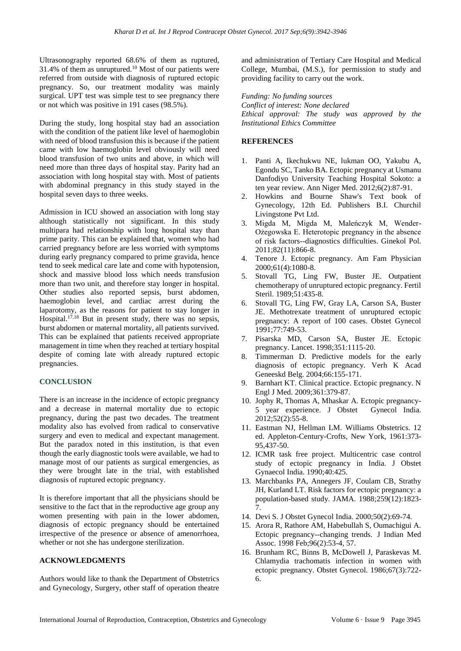Ultrasonography reported 68.6% of them as ruptured, 31.4% of them as unruptured.<sup>10</sup> Most of our patients were referred from outside with diagnosis of ruptured ectopic pregnancy. So, our treatment modality was mainly surgical. UPT test was simple test to see pregnancy there or not which was positive in 191 cases (98.5%).

During the study, long hospital stay had an association with the condition of the patient like level of haemoglobin with need of blood transfusion this is because if the patient came with low haemoglobin level obviously will need blood transfusion of two units and above, in which will need more than three days of hospital stay. Parity had an association with long hospital stay with. Most of patients with abdominal pregnancy in this study stayed in the hospital seven days to three weeks.

Admission in ICU showed an association with long stay although statistically not significant. In this study multipara had relationship with long hospital stay than prime parity. This can be explained that, women who had carried pregnancy before are less worried with symptoms during early pregnancy compared to prime gravida, hence tend to seek medical care late and come with hypotension, shock and massive blood loss which needs transfusion more than two unit, and therefore stay longer in hospital. Other studies also reported sepsis, burst abdomen, haemoglobin level, and cardiac arrest during the laparotomy, as the reasons for patient to stay longer in Hospital.<sup>17,18</sup> But in present study, there was no sepsis, burst abdomen or maternal mortality, all patients survived. This can be explained that patients received appropriate management in time when they reached at tertiary hospital despite of coming late with already ruptured ectopic pregnancies.

## **CONCLUSION**

There is an increase in the incidence of ectopic pregnancy and a decrease in maternal mortality due to ectopic pregnancy, during the past two decades. The treatment modality also has evolved from radical to conservative surgery and even to medical and expectant management. But the paradox noted in this institution, is that even though the early diagnostic tools were available, we had to manage most of our patients as surgical emergencies, as they were brought late in the trial, with established diagnosis of ruptured ectopic pregnancy.

It is therefore important that all the physicians should be sensitive to the fact that in the reproductive age group any women presenting with pain in the lower abdomen, diagnosis of ectopic pregnancy should be entertained irrespective of the presence or absence of amenorrhoea, whether or not she has undergone sterilization.

## **ACKNOWLEDGMENTS**

Authors would like to thank the Department of Obstetrics and Gynecology, Surgery, other staff of operation theatre and administration of Tertiary Care Hospital and Medical College, Mumbai, (M.S.), for permission to study and providing facility to carry out the work.

*Funding: No funding sources Conflict of interest: None declared Ethical approval: The study was approved by the Institutional Ethics Committee*

## **REFERENCES**

- 1. Panti A, Ikechukwu NE, lukman OO, Yakubu A, Egondu SC, Tanko BA. Ectopic pregnancy at Usmanu Danfodiyo University Teaching Hospital Sokoto: a ten year review. Ann Niger Med. 2012;6(2):87-91.
- 2. Howkins and Bourne Shaw's Text book of Gynecology, 12th Ed. Publishers B.I. Churchil Livingstone Pvt Ltd.
- 3. Migda M, Migda M, Maleńczyk M, Wender-Ożegowska E. Heterotopic pregnancy in the absence of risk factors--diagnostics difficulties. Ginekol Pol. 2011;82(11):866-8.
- 4. Tenore J. Ectopic pregnancy. Am Fam Physician 2000;61(4):1080-8.
- 5. Stovall TG, Ling FW, Buster JE. Outpatient chemotherapy of unruptured ectopic pregnancy. Fertil Steril. 1989;51:435-8.
- 6. Stovall TG, Ling FW, Gray LA, Carson SA, Buster JE. Methotrexate treatment of unruptured ectopic pregnancy: A report of 100 cases. Obstet Gynecol 1991;77:749-53.
- 7. Pisarska MD, Carson SA, Buster JE. Ectopic pregnancy. Lancet. 1998;351:1115-20.
- 8. Timmerman D. Predictive models for the early diagnosis of ectopic pregnancy. Verh K Acad Geneeskd Belg. 2004;66:155-171.
- 9. Barnhart KT. Clinical practice. Ectopic pregnancy. N Engl J Med. 2009;361:379-87.
- 10. Jophy R, Thomas A, Mhaskar A. Ectopic pregnancy-5 year experience. J Obstet Gynecol India. 2012;52(2):55-8.
- 11. Eastman NJ, Hellman LM. Williams Obstetrics. 12 ed. Appleton-Century-Crofts, New York, 1961:373- 95,437-50.
- 12. ICMR task free project. Multicentric case control study of ectopic pregnancy in India. J Obstet Gynaecol India. 1990;40:425.
- 13. Marchbanks PA, Annegers JF, Coulam CB, Strathy JH, Kurland LT. Risk factors for ectopic pregnancy: a population-based study. JAMA. 1988;259(12):1823- 7.
- 14. Devi S. J Obstet Gynecol India. 2000;50(2):69-74.
- 15. Arora R, Rathore AM, Habebullah S, Oumachigui A. Ectopic pregnancy--changing trends. J Indian Med Assoc. 1998 Feb;96(2):53-4, 57.
- 16. Brunham RC, Binns B, McDowell J, Paraskevas M. Chlamydia trachomatis infection in women with ectopic pregnancy. Obstet Gynecol. 1986;67(3):722- 6.